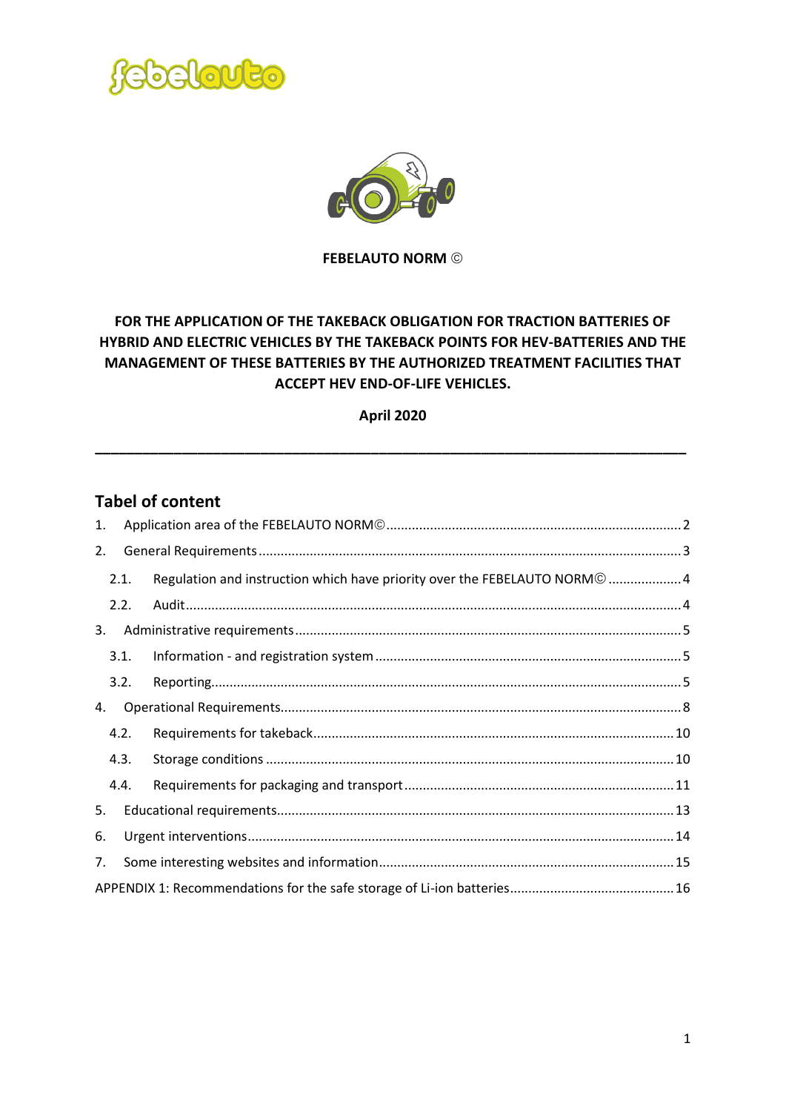



**FEBELAUTO NORM**

## **FOR THE APPLICATION OF THE TAKEBACK OBLIGATION FOR TRACTION BATTERIES OF HYBRID AND ELECTRIC VEHICLES BY THE TAKEBACK POINTS FOR HEV-BATTERIES AND THE MANAGEMENT OF THESE BATTERIES BY THE AUTHORIZED TREATMENT FACILITIES THAT ACCEPT HEV END-OF-LIFE VEHICLES.**

**April 2020**

**\_\_\_\_\_\_\_\_\_\_\_\_\_\_\_\_\_\_\_\_\_\_\_\_\_\_\_\_\_\_\_\_\_\_\_\_\_\_\_\_\_\_\_\_\_\_\_\_\_\_\_\_\_\_\_\_\_\_\_\_\_\_\_\_\_\_\_\_\_\_\_\_\_\_\_**

## **Tabel of content**

| 1. |      |                                                                           |  |  |
|----|------|---------------------------------------------------------------------------|--|--|
| 2. |      |                                                                           |  |  |
|    | 2.1. | Regulation and instruction which have priority over the FEBELAUTO NORM© 4 |  |  |
|    | 2.2. |                                                                           |  |  |
| 3. |      |                                                                           |  |  |
|    | 3.1. |                                                                           |  |  |
|    | 3.2. |                                                                           |  |  |
| 4. |      |                                                                           |  |  |
|    | 4.2. |                                                                           |  |  |
|    | 4.3. |                                                                           |  |  |
|    | 4.4. |                                                                           |  |  |
| 5. |      |                                                                           |  |  |
| 6. |      |                                                                           |  |  |
| 7. |      |                                                                           |  |  |
|    |      |                                                                           |  |  |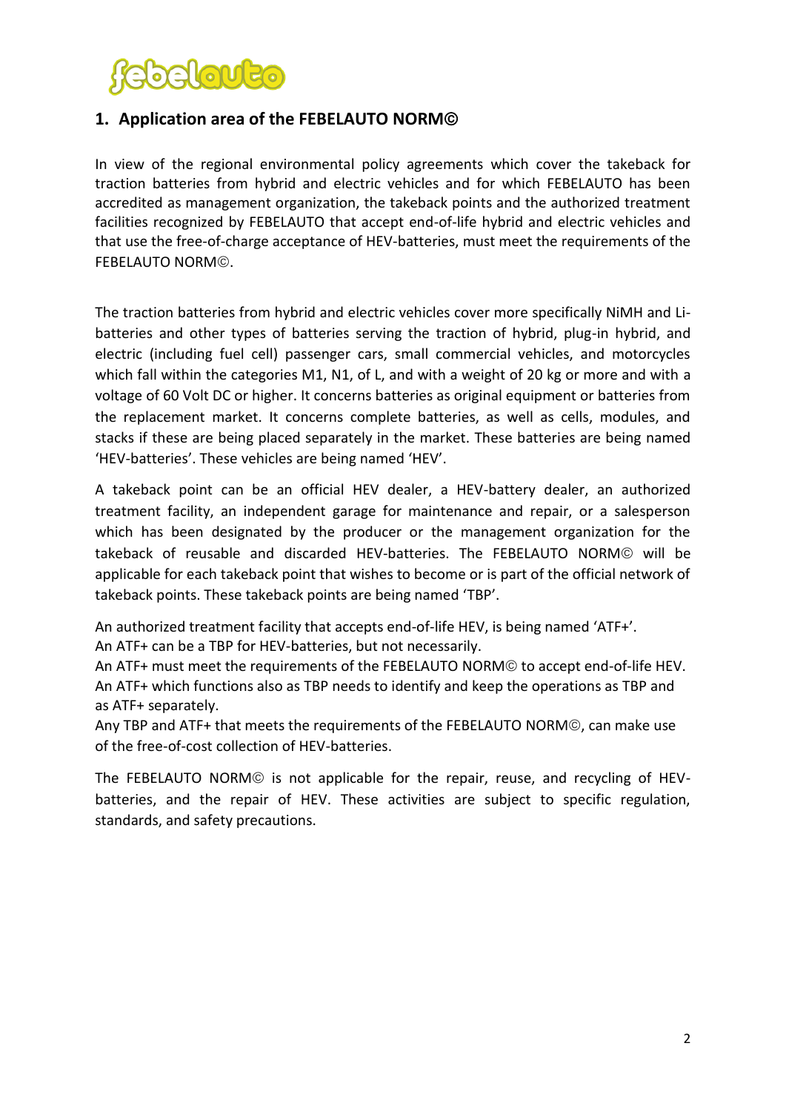

## <span id="page-1-0"></span>**1. Application area of the FEBELAUTO NORM**

In view of the regional environmental policy agreements which cover the takeback for traction batteries from hybrid and electric vehicles and for which FEBELAUTO has been accredited as management organization, the takeback points and the authorized treatment facilities recognized by FEBELAUTO that accept end-of-life hybrid and electric vehicles and that use the free-of-charge acceptance of HEV-batteries, must meet the requirements of the FEBELAUTO NORM<sup>®</sup>.

The traction batteries from hybrid and electric vehicles cover more specifically NiMH and Libatteries and other types of batteries serving the traction of hybrid, plug-in hybrid, and electric (including fuel cell) passenger cars, small commercial vehicles, and motorcycles which fall within the categories M1, N1, of L, and with a weight of 20 kg or more and with a voltage of 60 Volt DC or higher. It concerns batteries as original equipment or batteries from the replacement market. It concerns complete batteries, as well as cells, modules, and stacks if these are being placed separately in the market. These batteries are being named 'HEV-batteries'. These vehicles are being named 'HEV'.

A takeback point can be an official HEV dealer, a HEV-battery dealer, an authorized treatment facility, an independent garage for maintenance and repair, or a salesperson which has been designated by the producer or the management organization for the takeback of reusable and discarded HEV-batteries. The FEBELAUTO NORM will be applicable for each takeback point that wishes to become or is part of the official network of takeback points. These takeback points are being named 'TBP'.

An authorized treatment facility that accepts end-of-life HEV, is being named 'ATF+'.

An ATF+ can be a TBP for HEV-batteries, but not necessarily.

An ATF+ must meet the requirements of the FEBELAUTO NORM<sup>®</sup> to accept end-of-life HEV. An ATF+ which functions also as TBP needs to identify and keep the operations as TBP and as ATF+ separately.

Any TBP and ATF+ that meets the requirements of the FEBELAUTO NORM©, can make use of the free-of-cost collection of HEV-batteries.

The FEBELAUTO NORM $@$  is not applicable for the repair, reuse, and recycling of HEVbatteries, and the repair of HEV. These activities are subject to specific regulation, standards, and safety precautions.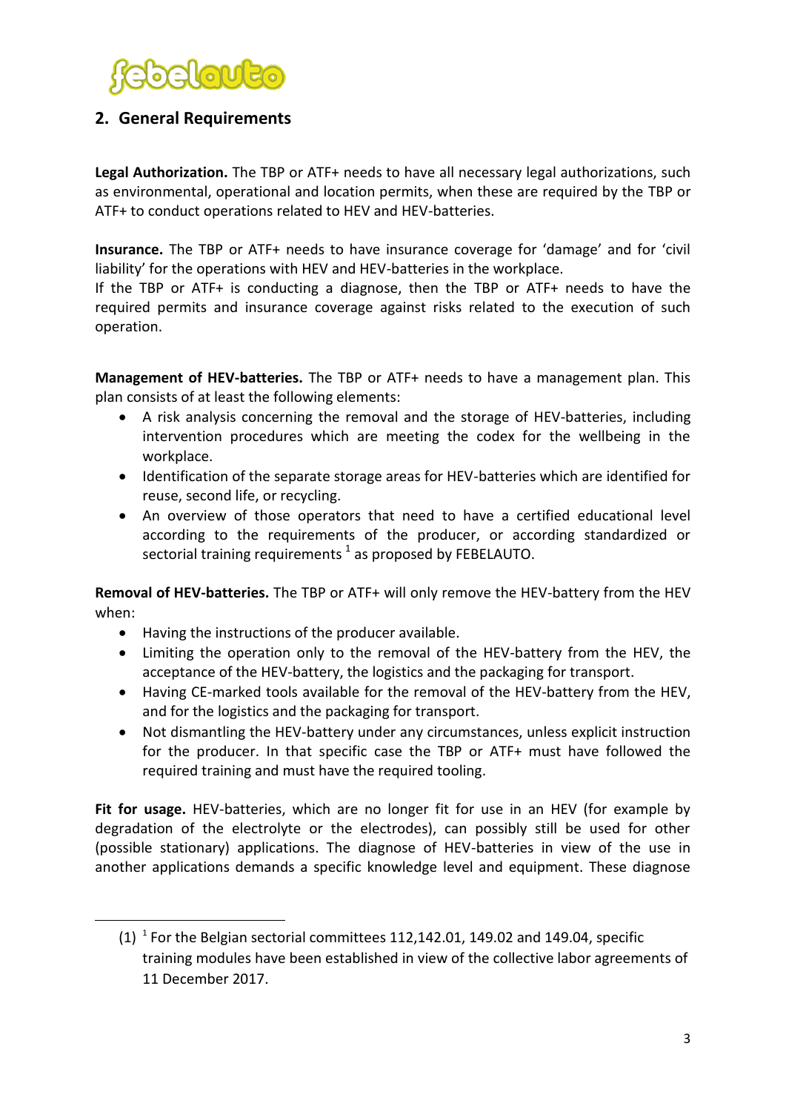

## <span id="page-2-0"></span>**2. General Requirements**

Legal Authorization. The TBP or ATF+ needs to have all necessary legal authorizations, such as environmental, operational and location permits, when these are required by the TBP or ATF+ to conduct operations related to HEV and HEV-batteries.

**Insurance.** The TBP or ATF+ needs to have insurance coverage for 'damage' and for 'civil liability' for the operations with HEV and HEV-batteries in the workplace.

If the TBP or ATF+ is conducting a diagnose, then the TBP or ATF+ needs to have the required permits and insurance coverage against risks related to the execution of such operation.

**Management of HEV-batteries.** The TBP or ATF+ needs to have a management plan. This plan consists of at least the following elements:

- A risk analysis concerning the removal and the storage of HEV-batteries, including intervention procedures which are meeting the codex for the wellbeing in the workplace.
- Identification of the separate storage areas for HEV-batteries which are identified for reuse, second life, or recycling.
- An overview of those operators that need to have a certified educational level according to the requirements of the producer, or according standardized or sectorial training requirements  $^1$  as proposed by FEBELAUTO.

**Removal of HEV-batteries.** The TBP or ATF+ will only remove the HEV-battery from the HEV when:

Having the instructions of the producer available.

**.** 

- Limiting the operation only to the removal of the HEV-battery from the HEV, the acceptance of the HEV-battery, the logistics and the packaging for transport.
- Having CE-marked tools available for the removal of the HEV-battery from the HEV, and for the logistics and the packaging for transport.
- Not dismantling the HEV-battery under any circumstances, unless explicit instruction for the producer. In that specific case the TBP or ATF+ must have followed the required training and must have the required tooling.

**Fit for usage.** HEV-batteries, which are no longer fit for use in an HEV (for example by degradation of the electrolyte or the electrodes), can possibly still be used for other (possible stationary) applications. The diagnose of HEV-batteries in view of the use in another applications demands a specific knowledge level and equipment. These diagnose

 $(1)$ <sup>1</sup> For the Belgian sectorial committees 112,142.01, 149.02 and 149.04, specific training modules have been established in view of the collective labor agreements of 11 December 2017.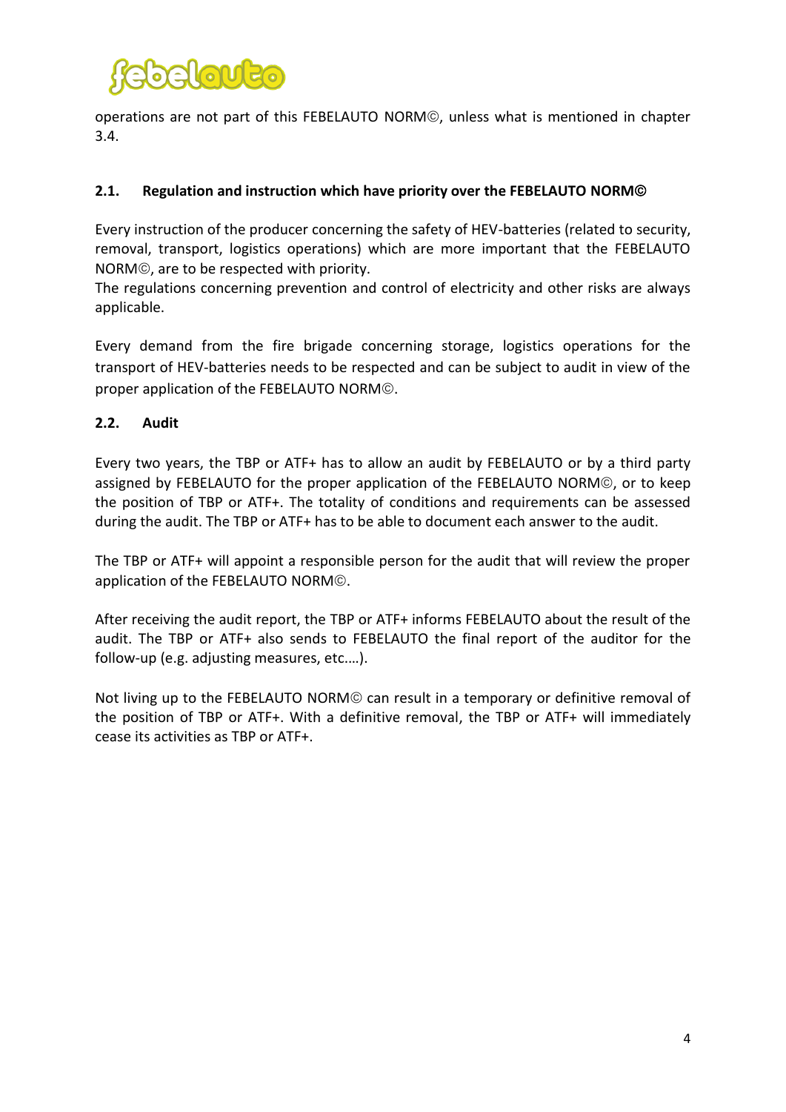

operations are not part of this FEBELAUTO NORM©, unless what is mentioned in chapter 3.4.

#### <span id="page-3-0"></span>**2.1. Regulation and instruction which have priority over the FEBELAUTO NORM**

Every instruction of the producer concerning the safety of HEV-batteries (related to security, removal, transport, logistics operations) which are more important that the FEBELAUTO NORM©, are to be respected with priority.

The regulations concerning prevention and control of electricity and other risks are always applicable.

Every demand from the fire brigade concerning storage, logistics operations for the transport of HEV-batteries needs to be respected and can be subject to audit in view of the proper application of the FEBELAUTO NORM<sup>©</sup>.

#### <span id="page-3-1"></span>**2.2. Audit**

Every two years, the TBP or ATF+ has to allow an audit by FEBELAUTO or by a third party assigned by FEBELAUTO for the proper application of the FEBELAUTO NORM©, or to keep the position of TBP or ATF+. The totality of conditions and requirements can be assessed during the audit. The TBP or ATF+ has to be able to document each answer to the audit.

The TBP or ATF+ will appoint a responsible person for the audit that will review the proper application of the FEBELAUTO NORM<sup>®</sup>.

After receiving the audit report, the TBP or ATF+ informs FEBELAUTO about the result of the audit. The TBP or ATF+ also sends to FEBELAUTO the final report of the auditor for the follow-up (e.g. adjusting measures, etc.…).

Not living up to the FEBELAUTO NORM<sup>®</sup> can result in a temporary or definitive removal of the position of TBP or ATF+. With a definitive removal, the TBP or ATF+ will immediately cease its activities as TBP or ATF+.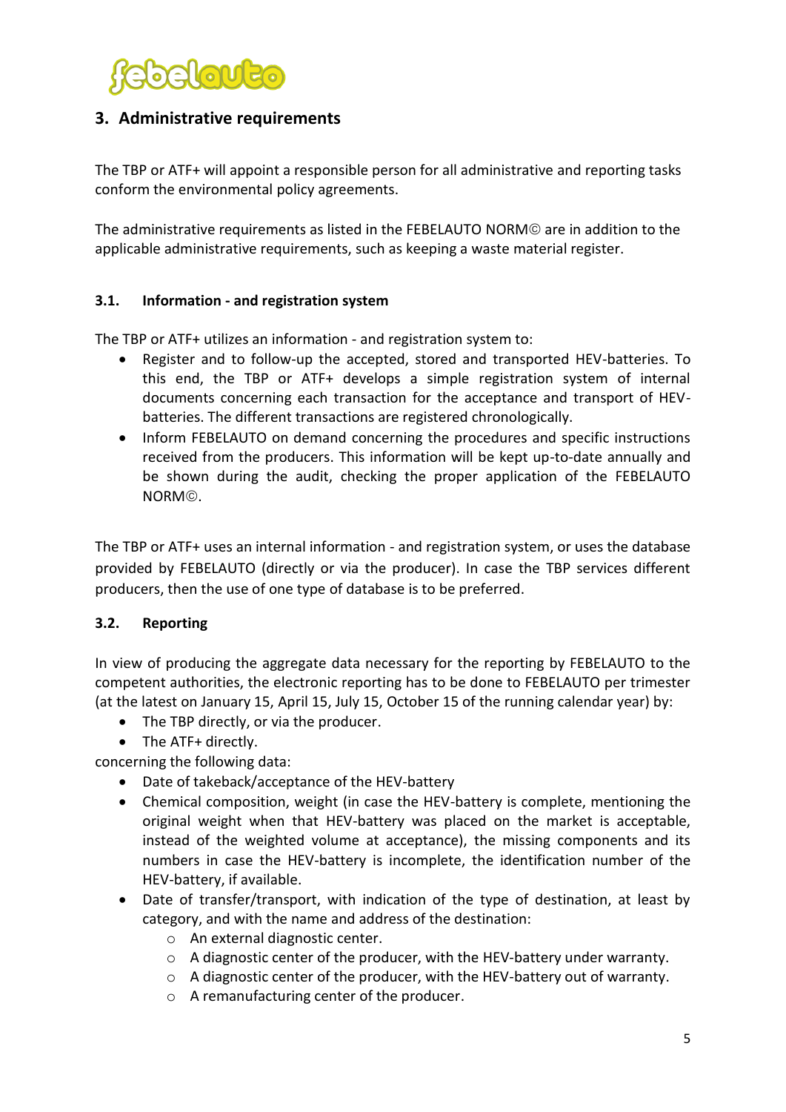

## <span id="page-4-0"></span>**3. Administrative requirements**

The TBP or ATF+ will appoint a responsible person for all administrative and reporting tasks conform the environmental policy agreements.

The administrative requirements as listed in the FEBELAUTO NORM are in addition to the applicable administrative requirements, such as keeping a waste material register.

#### <span id="page-4-1"></span>**3.1. Information - and registration system**

The TBP or ATF+ utilizes an information - and registration system to:

- Register and to follow-up the accepted, stored and transported HEV-batteries. To this end, the TBP or ATF+ develops a simple registration system of internal documents concerning each transaction for the acceptance and transport of HEVbatteries. The different transactions are registered chronologically.
- Inform FEBELAUTO on demand concerning the procedures and specific instructions received from the producers. This information will be kept up-to-date annually and be shown during the audit, checking the proper application of the FEBELAUTO NORM<sup>®</sup>.

The TBP or ATF+ uses an internal information - and registration system, or uses the database provided by FEBELAUTO (directly or via the producer). In case the TBP services different producers, then the use of one type of database is to be preferred.

### <span id="page-4-2"></span>**3.2. Reporting**

In view of producing the aggregate data necessary for the reporting by FEBELAUTO to the competent authorities, the electronic reporting has to be done to FEBELAUTO per trimester (at the latest on January 15, April 15, July 15, October 15 of the running calendar year) by:

- The TBP directly, or via the producer.
- The ATF+ directly.

concerning the following data:

- Date of takeback/acceptance of the HEV-battery
- Chemical composition, weight (in case the HEV-battery is complete, mentioning the original weight when that HEV-battery was placed on the market is acceptable, instead of the weighted volume at acceptance), the missing components and its numbers in case the HEV-battery is incomplete, the identification number of the HEV-battery, if available.
- Date of transfer/transport, with indication of the type of destination, at least by category, and with the name and address of the destination:
	- o An external diagnostic center.
	- $\circ$  A diagnostic center of the producer, with the HEV-battery under warranty.
	- $\circ$  A diagnostic center of the producer, with the HEV-battery out of warranty.
	- o A remanufacturing center of the producer.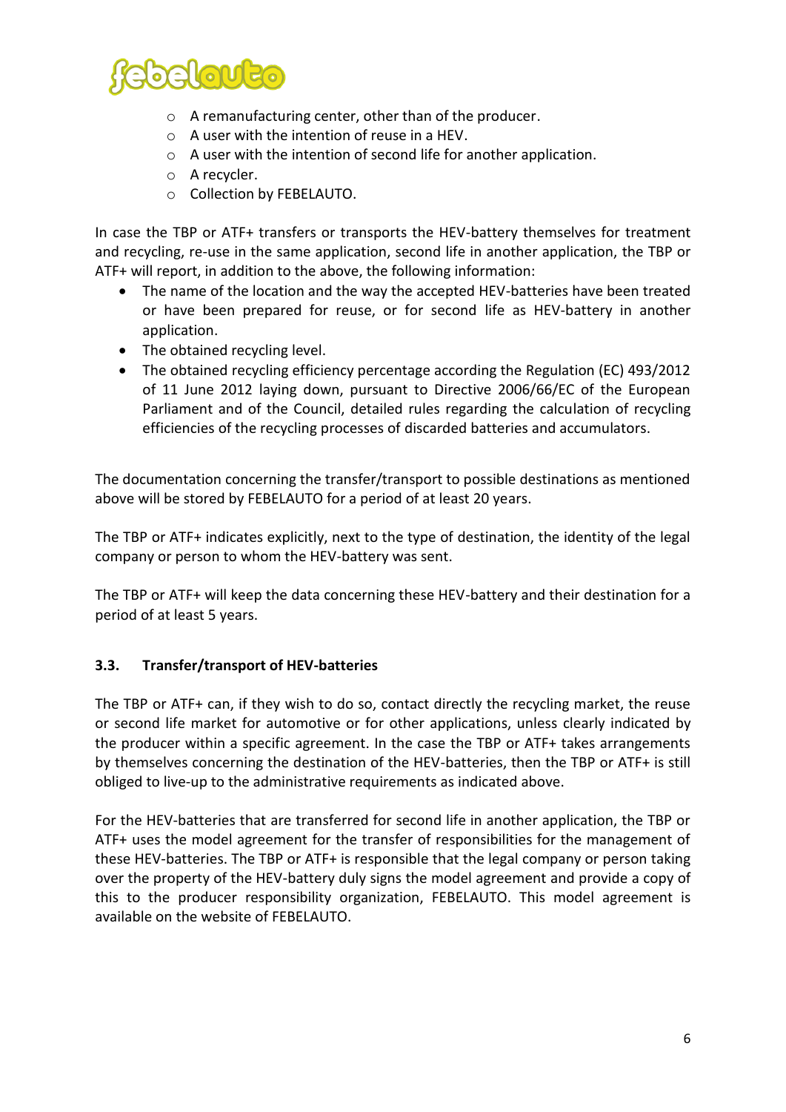

- o A remanufacturing center, other than of the producer.
- o A user with the intention of reuse in a HEV.
- o A user with the intention of second life for another application.
- o A recycler.
- o Collection by FEBELAUTO.

In case the TBP or ATF+ transfers or transports the HEV-battery themselves for treatment and recycling, re-use in the same application, second life in another application, the TBP or ATF+ will report, in addition to the above, the following information:

- The name of the location and the way the accepted HEV-batteries have been treated or have been prepared for reuse, or for second life as HEV-battery in another application.
- The obtained recycling level.
- The obtained recycling efficiency percentage according the Regulation (EC) 493/2012 of 11 June 2012 laying down, pursuant to Directive 2006/66/EC of the European Parliament and of the Council, detailed rules regarding the calculation of recycling efficiencies of the recycling processes of discarded batteries and accumulators.

The documentation concerning the transfer/transport to possible destinations as mentioned above will be stored by FEBELAUTO for a period of at least 20 years.

The TBP or ATF+ indicates explicitly, next to the type of destination, the identity of the legal company or person to whom the HEV-battery was sent.

The TBP or ATF+ will keep the data concerning these HEV-battery and their destination for a period of at least 5 years.

#### **3.3. Transfer/transport of HEV-batteries**

The TBP or ATF+ can, if they wish to do so, contact directly the recycling market, the reuse or second life market for automotive or for other applications, unless clearly indicated by the producer within a specific agreement. In the case the TBP or ATF+ takes arrangements by themselves concerning the destination of the HEV-batteries, then the TBP or ATF+ is still obliged to live-up to the administrative requirements as indicated above.

For the HEV-batteries that are transferred for second life in another application, the TBP or ATF+ uses the model agreement for the transfer of responsibilities for the management of these HEV-batteries. The TBP or ATF+ is responsible that the legal company or person taking over the property of the HEV-battery duly signs the model agreement and provide a copy of this to the producer responsibility organization, FEBELAUTO. This model agreement is available on the website of FEBELAUTO.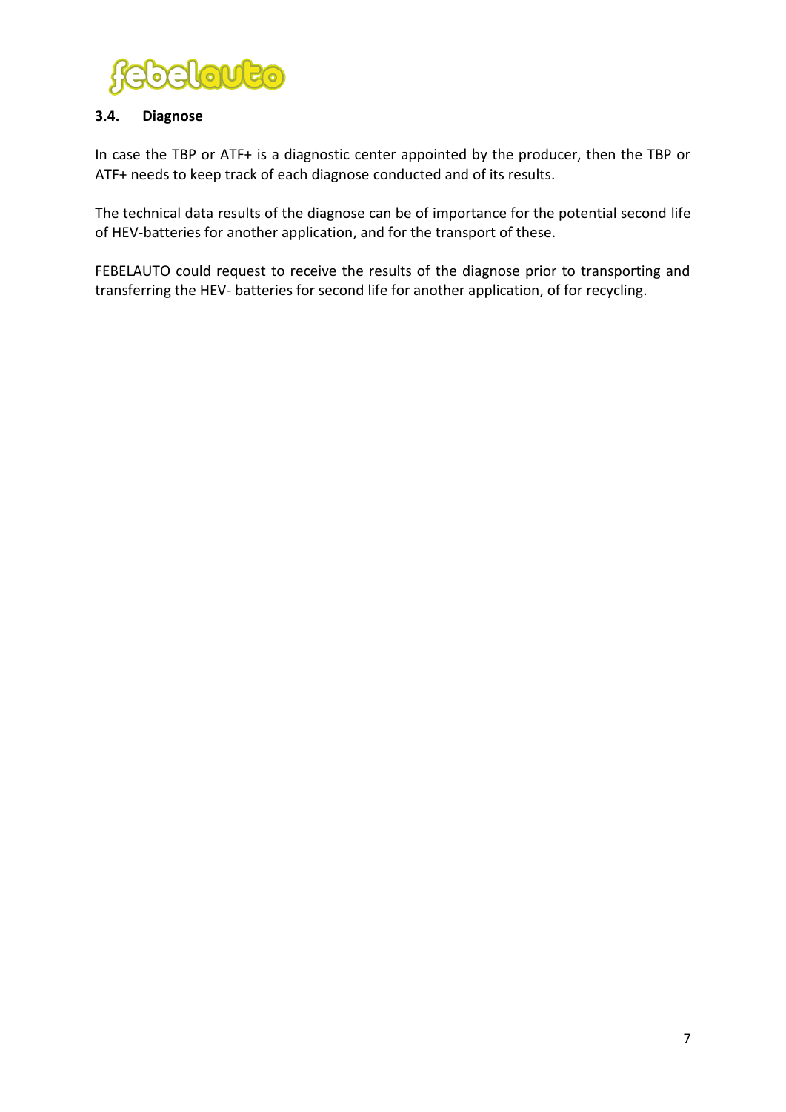

#### **3.4. Diagnose**

In case the TBP or ATF+ is a diagnostic center appointed by the producer, then the TBP or ATF+ needs to keep track of each diagnose conducted and of its results.

The technical data results of the diagnose can be of importance for the potential second life of HEV-batteries for another application, and for the transport of these.

FEBELAUTO could request to receive the results of the diagnose prior to transporting and transferring the HEV- batteries for second life for another application, of for recycling.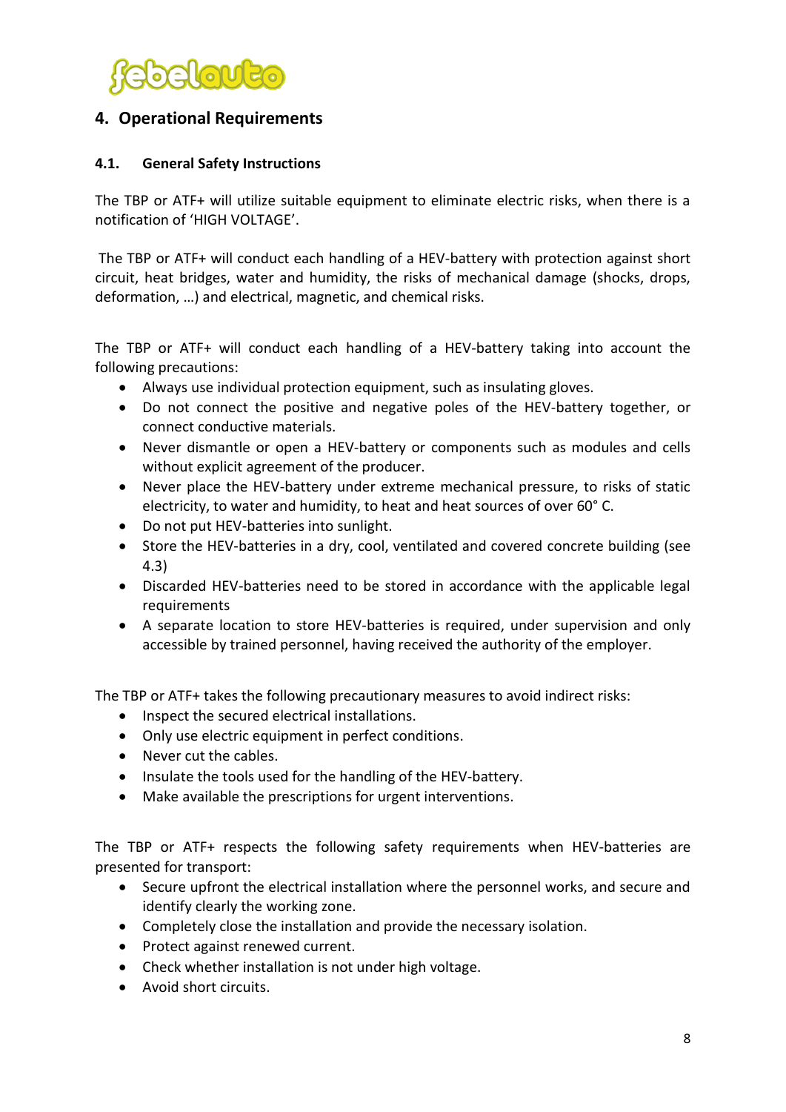

## <span id="page-7-0"></span>**4. Operational Requirements**

#### **4.1. General Safety Instructions**

The TBP or ATF+ will utilize suitable equipment to eliminate electric risks, when there is a notification of 'HIGH VOLTAGE'.

The TBP or ATF+ will conduct each handling of a HEV-battery with protection against short circuit, heat bridges, water and humidity, the risks of mechanical damage (shocks, drops, deformation, …) and electrical, magnetic, and chemical risks.

The TBP or ATF+ will conduct each handling of a HEV-battery taking into account the following precautions:

- Always use individual protection equipment, such as insulating gloves.
- Do not connect the positive and negative poles of the HEV-battery together, or connect conductive materials.
- Never dismantle or open a HEV-battery or components such as modules and cells without explicit agreement of the producer.
- Never place the HEV-battery under extreme mechanical pressure, to risks of static electricity, to water and humidity, to heat and heat sources of over 60° C.
- Do not put HEV-batteries into sunlight.
- Store the HEV-batteries in a dry, cool, ventilated and covered concrete building (see 4.3)
- Discarded HEV-batteries need to be stored in accordance with the applicable legal requirements
- A separate location to store HEV-batteries is required, under supervision and only accessible by trained personnel, having received the authority of the employer.

The TBP or ATF+ takes the following precautionary measures to avoid indirect risks:

- Inspect the secured electrical installations.
- Only use electric equipment in perfect conditions.
- Never cut the cables.
- Insulate the tools used for the handling of the HEV-battery.
- Make available the prescriptions for urgent interventions.

The TBP or ATF+ respects the following safety requirements when HEV-batteries are presented for transport:

- Secure upfront the electrical installation where the personnel works, and secure and identify clearly the working zone.
- Completely close the installation and provide the necessary isolation.
- Protect against renewed current.
- Check whether installation is not under high voltage.
- Avoid short circuits.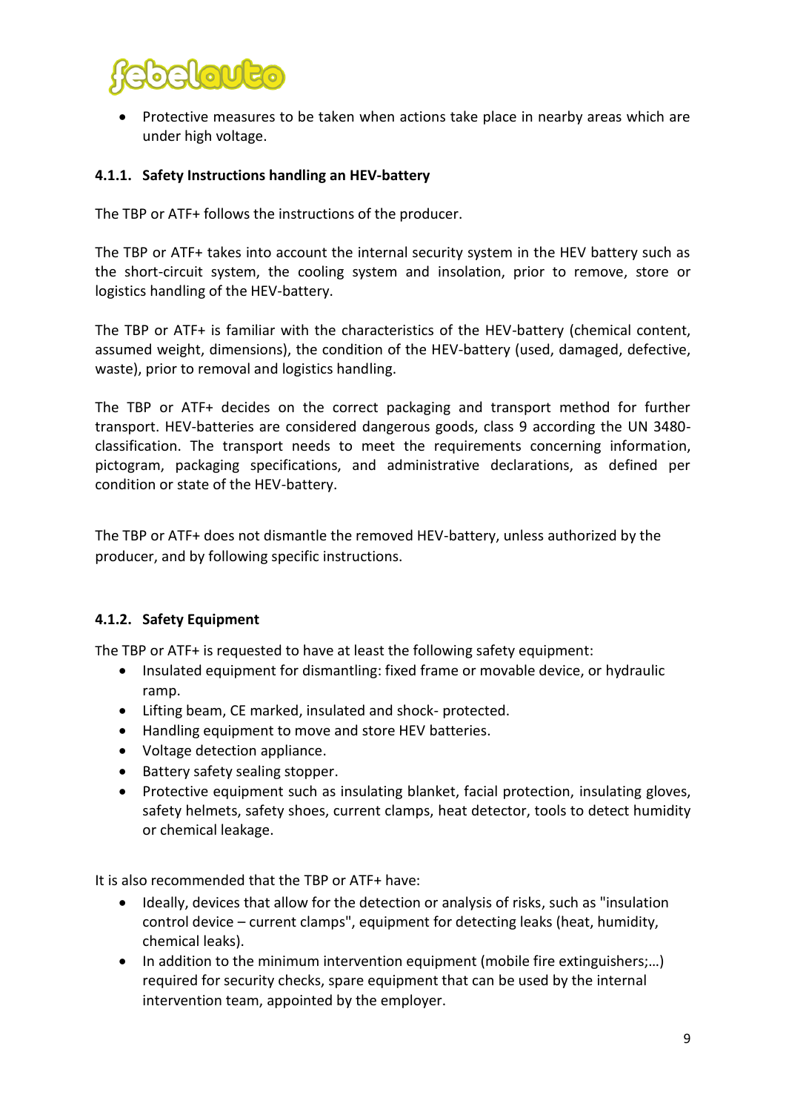

 Protective measures to be taken when actions take place in nearby areas which are under high voltage.

#### **4.1.1. Safety Instructions handling an HEV-battery**

The TBP or ATF+ follows the instructions of the producer.

The TBP or ATF+ takes into account the internal security system in the HEV battery such as the short-circuit system, the cooling system and insolation, prior to remove, store or logistics handling of the HEV-battery.

The TBP or ATF+ is familiar with the characteristics of the HEV-battery (chemical content, assumed weight, dimensions), the condition of the HEV-battery (used, damaged, defective, waste), prior to removal and logistics handling.

The TBP or ATF+ decides on the correct packaging and transport method for further transport. HEV-batteries are considered dangerous goods, class 9 according the UN 3480 classification. The transport needs to meet the requirements concerning information, pictogram, packaging specifications, and administrative declarations, as defined per condition or state of the HEV-battery.

The TBP or ATF+ does not dismantle the removed HEV-battery, unless authorized by the producer, and by following specific instructions.

#### **4.1.2. Safety Equipment**

The TBP or ATF+ is requested to have at least the following safety equipment:

- Insulated equipment for dismantling: fixed frame or movable device, or hydraulic ramp.
- Lifting beam, CE marked, insulated and shock- protected.
- Handling equipment to move and store HEV batteries.
- Voltage detection appliance.
- Battery safety sealing stopper.
- Protective equipment such as insulating blanket, facial protection, insulating gloves, safety helmets, safety shoes, current clamps, heat detector, tools to detect humidity or chemical leakage.

It is also recommended that the TBP or ATF+ have:

- Ideally, devices that allow for the detection or analysis of risks, such as "insulation control device – current clamps", equipment for detecting leaks (heat, humidity, chemical leaks).
- In addition to the minimum intervention equipment (mobile fire extinguishers;…) required for security checks, spare equipment that can be used by the internal intervention team, appointed by the employer.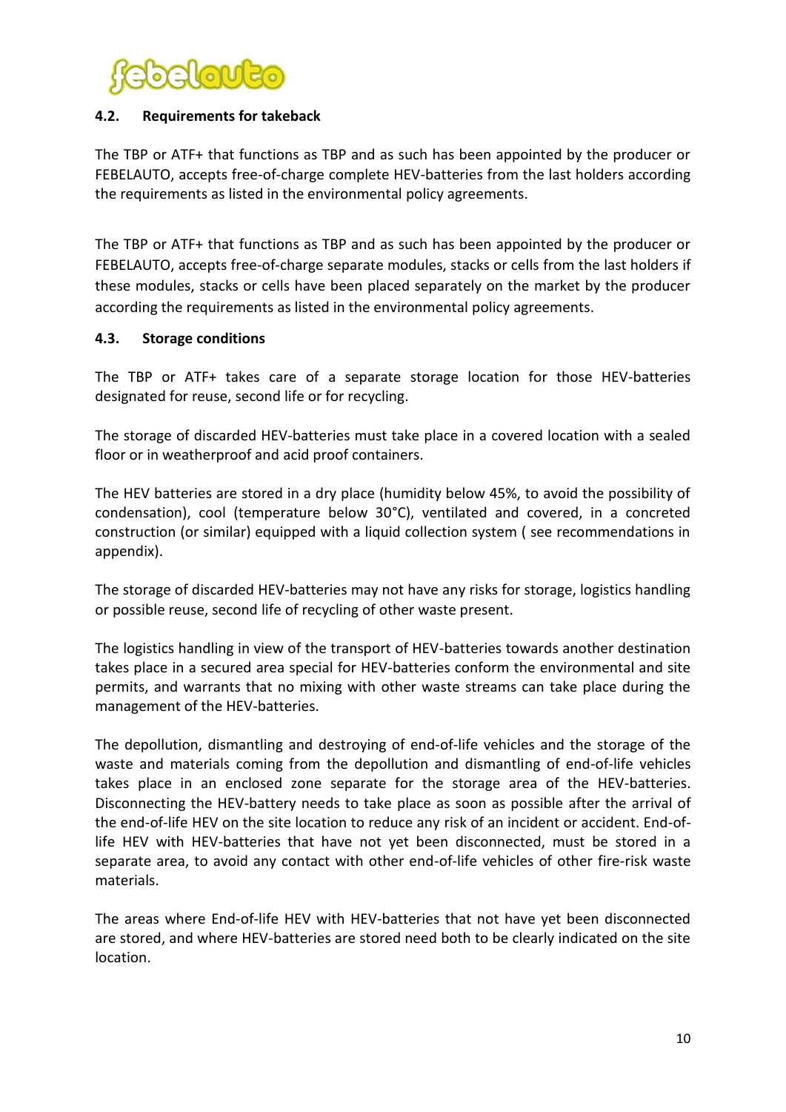

#### <span id="page-9-0"></span>**4.2. Requirements for takeback**

The TBP or ATF+ that functions as TBP and as such has been appointed by the producer or FEBELAUTO, accepts free-of-charge complete HEV-batteries from the last holders according the requirements as listed in the environmental policy agreements.

The TBP or ATF+ that functions as TBP and as such has been appointed by the producer or FEBELAUTO, accepts free-of-charge separate modules, stacks or cells from the last holders if these modules, stacks or cells have been placed separately on the market by the producer according the requirements as listed in the environmental policy agreements.

#### <span id="page-9-1"></span>**4.3. Storage conditions**

The TBP or ATF+ takes care of a separate storage location for those HEV-batteries designated for reuse, second life or for recycling.

The storage of discarded HEV-batteries must take place in a covered location with a sealed floor or in weatherproof and acid proof containers.

The HEV batteries are stored in a dry place (humidity below 45%, to avoid the possibility of condensation), cool (temperature below 30°C), ventilated and covered, in a concreted construction (or similar) equipped with a liquid collection system ( see recommendations in appendix).

The storage of discarded HEV-batteries may not have any risks for storage, logistics handling or possible reuse, second life of recycling of other waste present.

The logistics handling in view of the transport of HEV-batteries towards another destination takes place in a secured area special for HEV-batteries conform the environmental and site permits, and warrants that no mixing with other waste streams can take place during the management of the HEV-batteries.

The depollution, dismantling and destroying of end-of-life vehicles and the storage of the waste and materials coming from the depollution and dismantling of end-of-life vehicles takes place in an enclosed zone separate for the storage area of the HEV-batteries. Disconnecting the HEV-battery needs to take place as soon as possible after the arrival of the end-of-life HEV on the site location to reduce any risk of an incident or accident. End-oflife HEV with HEV-batteries that have not yet been disconnected, must be stored in a separate area, to avoid any contact with other end-of-life vehicles of other fire-risk waste materials.

The areas where End-of-life HEV with HEV-batteries that not have yet been disconnected are stored, and where HEV-batteries are stored need both to be clearly indicated on the site location.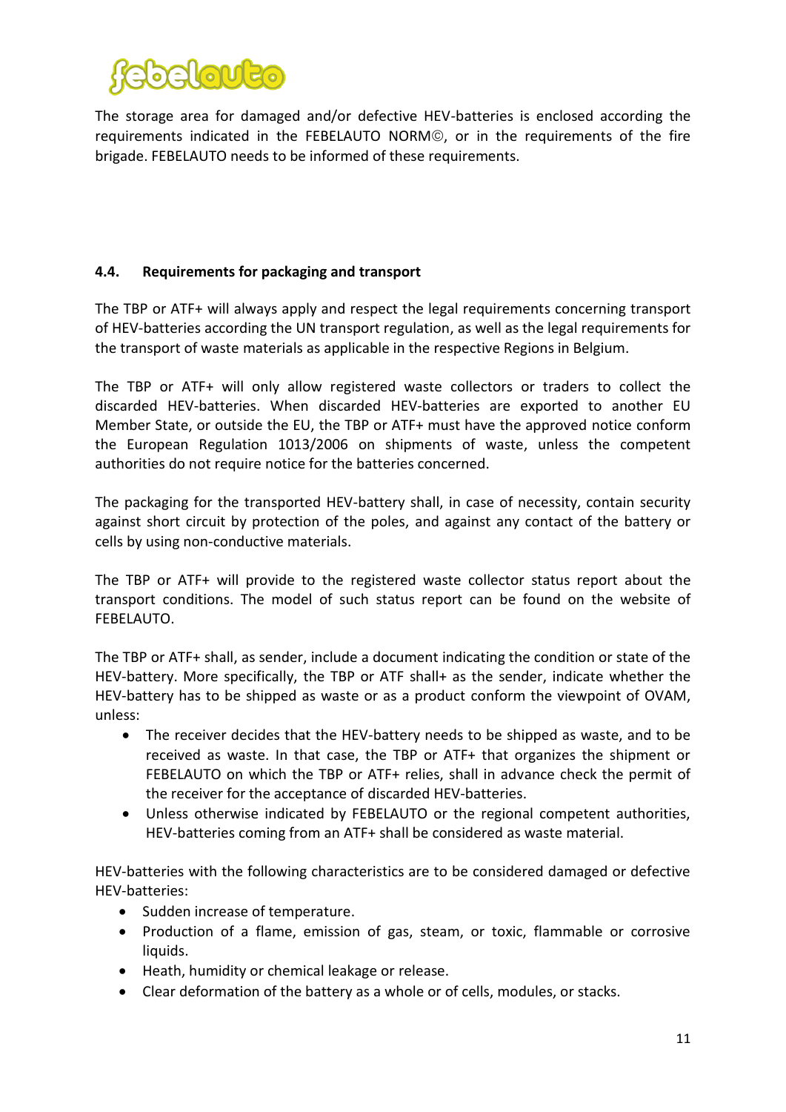

The storage area for damaged and/or defective HEV-batteries is enclosed according the requirements indicated in the FEBELAUTO NORM<sup>®</sup>, or in the requirements of the fire brigade. FEBELAUTO needs to be informed of these requirements.

#### <span id="page-10-0"></span>**4.4. Requirements for packaging and transport**

The TBP or ATF+ will always apply and respect the legal requirements concerning transport of HEV-batteries according the UN transport regulation, as well as the legal requirements for the transport of waste materials as applicable in the respective Regions in Belgium.

The TBP or ATF+ will only allow registered waste collectors or traders to collect the discarded HEV-batteries. When discarded HEV-batteries are exported to another EU Member State, or outside the EU, the TBP or ATF+ must have the approved notice conform the European Regulation 1013/2006 on shipments of waste, unless the competent authorities do not require notice for the batteries concerned.

The packaging for the transported HEV-battery shall, in case of necessity, contain security against short circuit by protection of the poles, and against any contact of the battery or cells by using non-conductive materials.

The TBP or ATF+ will provide to the registered waste collector status report about the transport conditions. The model of such status report can be found on the website of FEBELAUTO.

The TBP or ATF+ shall, as sender, include a document indicating the condition or state of the HEV-battery. More specifically, the TBP or ATF shall+ as the sender, indicate whether the HEV-battery has to be shipped as waste or as a product conform the viewpoint of OVAM, unless:

- The receiver decides that the HEV-battery needs to be shipped as waste, and to be received as waste. In that case, the TBP or ATF+ that organizes the shipment or FEBELAUTO on which the TBP or ATF+ relies, shall in advance check the permit of the receiver for the acceptance of discarded HEV-batteries.
- Unless otherwise indicated by FEBELAUTO or the regional competent authorities, HEV-batteries coming from an ATF+ shall be considered as waste material.

HEV-batteries with the following characteristics are to be considered damaged or defective HEV-batteries:

- Sudden increase of temperature.
- Production of a flame, emission of gas, steam, or toxic, flammable or corrosive liquids.
- Heath, humidity or chemical leakage or release.
- Clear deformation of the battery as a whole or of cells, modules, or stacks.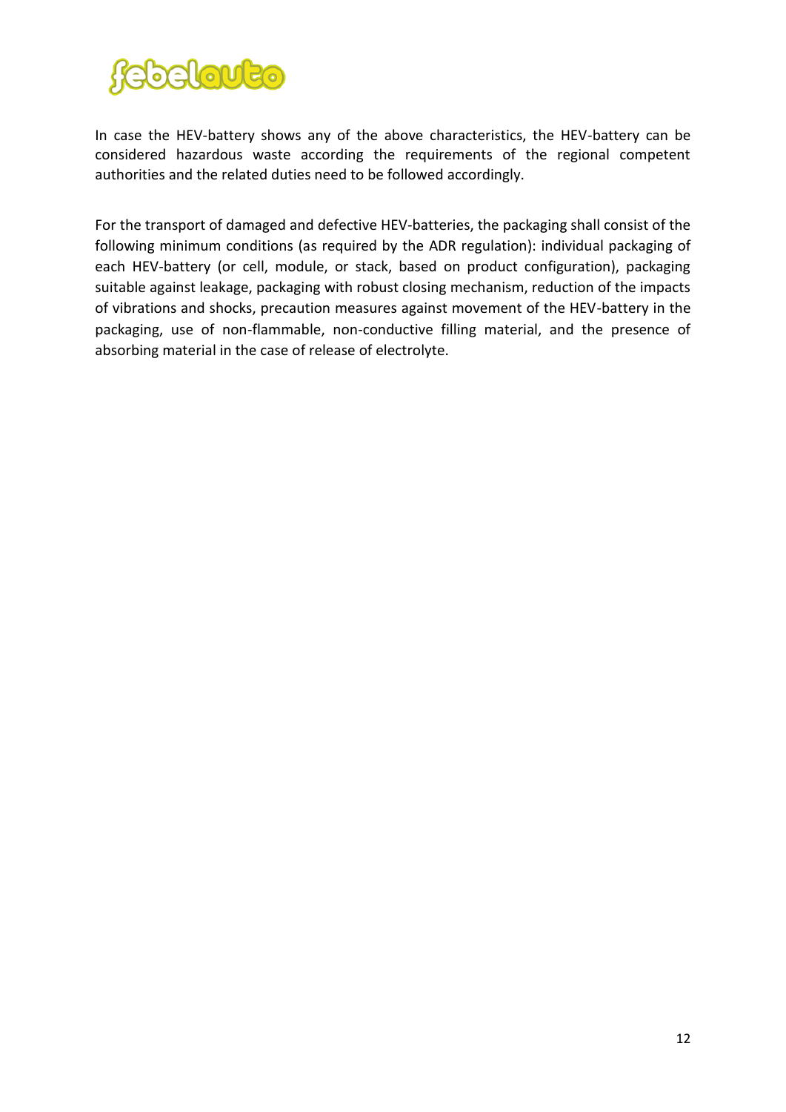

In case the HEV-battery shows any of the above characteristics, the HEV-battery can be considered hazardous waste according the requirements of the regional competent authorities and the related duties need to be followed accordingly.

For the transport of damaged and defective HEV-batteries, the packaging shall consist of the following minimum conditions (as required by the ADR regulation): individual packaging of each HEV-battery (or cell, module, or stack, based on product configuration), packaging suitable against leakage, packaging with robust closing mechanism, reduction of the impacts of vibrations and shocks, precaution measures against movement of the HEV-battery in the packaging, use of non-flammable, non-conductive filling material, and the presence of absorbing material in the case of release of electrolyte.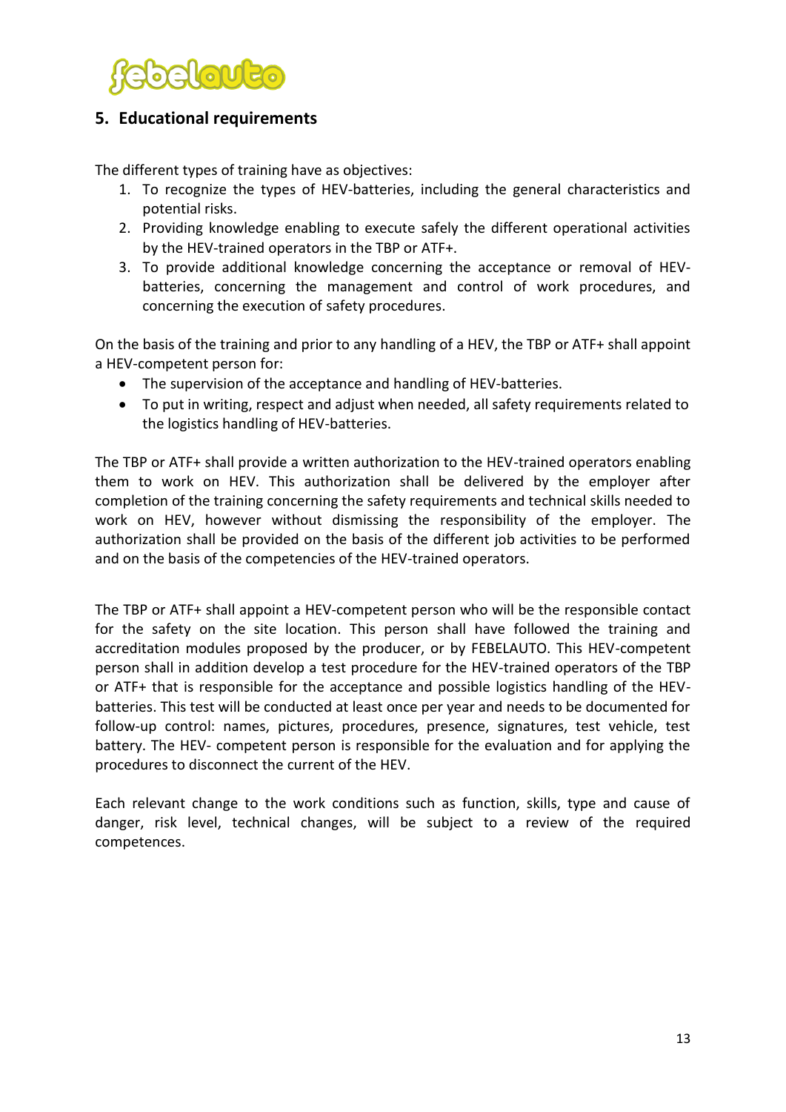

## <span id="page-12-0"></span>**5. Educational requirements**

The different types of training have as objectives:

- 1. To recognize the types of HEV-batteries, including the general characteristics and potential risks.
- 2. Providing knowledge enabling to execute safely the different operational activities by the HEV-trained operators in the TBP or ATF+.
- 3. To provide additional knowledge concerning the acceptance or removal of HEVbatteries, concerning the management and control of work procedures, and concerning the execution of safety procedures.

On the basis of the training and prior to any handling of a HEV, the TBP or ATF+ shall appoint a HEV-competent person for:

- The supervision of the acceptance and handling of HEV-batteries.
- To put in writing, respect and adjust when needed, all safety requirements related to the logistics handling of HEV-batteries.

The TBP or ATF+ shall provide a written authorization to the HEV-trained operators enabling them to work on HEV. This authorization shall be delivered by the employer after completion of the training concerning the safety requirements and technical skills needed to work on HEV, however without dismissing the responsibility of the employer. The authorization shall be provided on the basis of the different job activities to be performed and on the basis of the competencies of the HEV-trained operators.

The TBP or ATF+ shall appoint a HEV-competent person who will be the responsible contact for the safety on the site location. This person shall have followed the training and accreditation modules proposed by the producer, or by FEBELAUTO. This HEV-competent person shall in addition develop a test procedure for the HEV-trained operators of the TBP or ATF+ that is responsible for the acceptance and possible logistics handling of the HEVbatteries. This test will be conducted at least once per year and needs to be documented for follow-up control: names, pictures, procedures, presence, signatures, test vehicle, test battery. The HEV- competent person is responsible for the evaluation and for applying the procedures to disconnect the current of the HEV.

Each relevant change to the work conditions such as function, skills, type and cause of danger, risk level, technical changes, will be subject to a review of the required competences.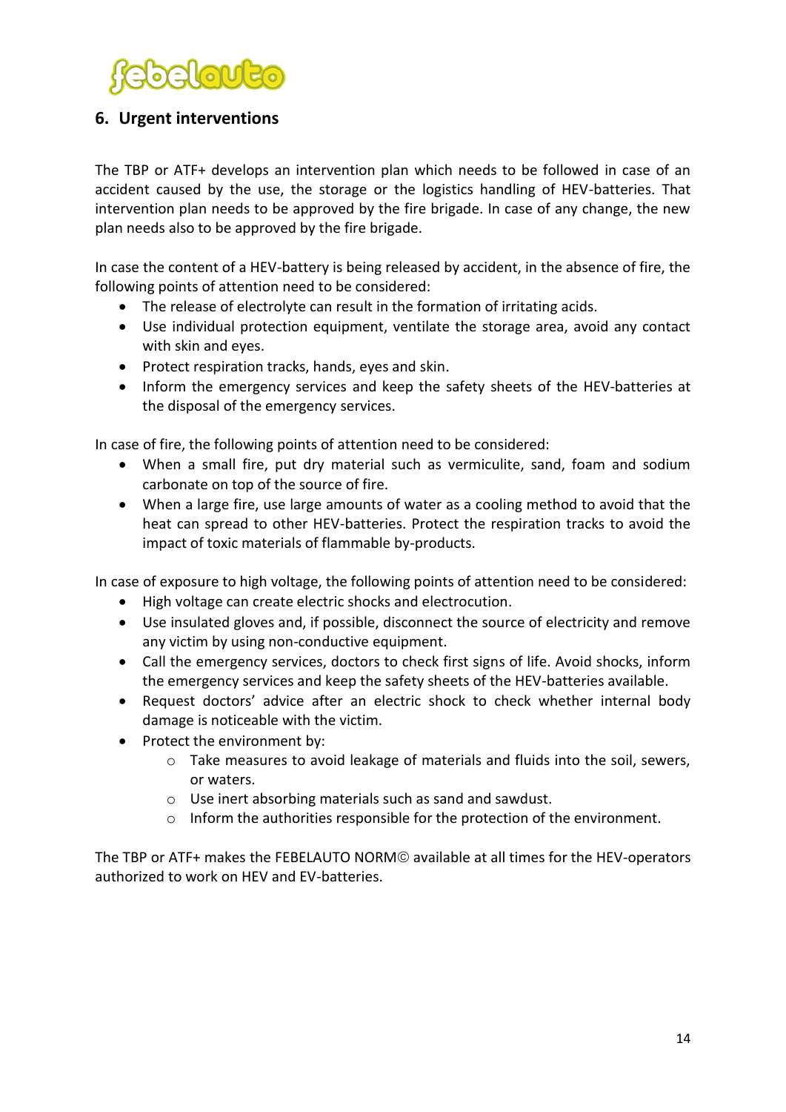

# <span id="page-13-0"></span>**6. Urgent interventions**

The TBP or ATF+ develops an intervention plan which needs to be followed in case of an accident caused by the use, the storage or the logistics handling of HEV-batteries. That intervention plan needs to be approved by the fire brigade. In case of any change, the new plan needs also to be approved by the fire brigade.

In case the content of a HEV-battery is being released by accident, in the absence of fire, the following points of attention need to be considered:

- The release of electrolyte can result in the formation of irritating acids.
- Use individual protection equipment, ventilate the storage area, avoid any contact with skin and eyes.
- Protect respiration tracks, hands, eyes and skin.
- Inform the emergency services and keep the safety sheets of the HEV-batteries at the disposal of the emergency services.

In case of fire, the following points of attention need to be considered:

- When a small fire, put dry material such as vermiculite, sand, foam and sodium carbonate on top of the source of fire.
- When a large fire, use large amounts of water as a cooling method to avoid that the heat can spread to other HEV-batteries. Protect the respiration tracks to avoid the impact of toxic materials of flammable by-products.

In case of exposure to high voltage, the following points of attention need to be considered:

- High voltage can create electric shocks and electrocution.
- Use insulated gloves and, if possible, disconnect the source of electricity and remove any victim by using non-conductive equipment.
- Call the emergency services, doctors to check first signs of life. Avoid shocks, inform the emergency services and keep the safety sheets of the HEV-batteries available.
- Request doctors' advice after an electric shock to check whether internal body damage is noticeable with the victim.
- Protect the environment by:
	- $\circ$  Take measures to avoid leakage of materials and fluids into the soil, sewers, or waters.
	- o Use inert absorbing materials such as sand and sawdust.
	- $\circ$  Inform the authorities responsible for the protection of the environment.

The TBP or ATF+ makes the FEBELAUTO NORM<sup>®</sup> available at all times for the HEV-operators authorized to work on HEV and EV-batteries.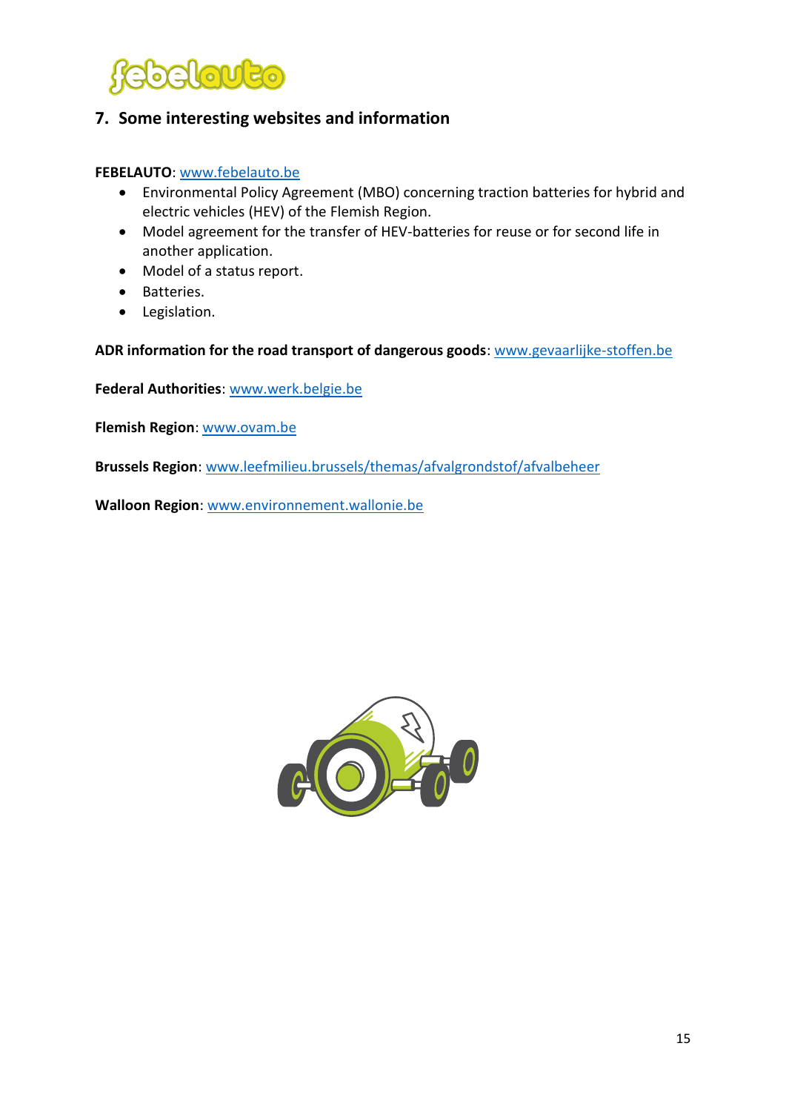

## <span id="page-14-0"></span>**7. Some interesting websites and information**

**FEBELAUTO**: [www.febelauto.be](http://www.febelauto.be/)

- Environmental Policy Agreement (MBO) concerning traction batteries for hybrid and electric vehicles (HEV) of the Flemish Region.
- Model agreement for the transfer of HEV-batteries for reuse or for second life in another application.
- Model of a status report.
- Batteries.
- Legislation.

**ADR information for the road transport of dangerous goods**: [www.gevaarlijke-stoffen.be](http://www.gevaarlijke-stoffen.be/)

**Federal Authorities**[: www.werk.belgie.be](http://www.werk.belgie.be/)

**Flemish Region**: [www.ovam.be](http://www.ovam.be/)

**Brussels Region**[: www.leefmilieu.brussels/themas/afvalgrondstof/afvalbeheer](http://www.leefmilieu.brussels/themas/afvalgrondstof/afvalbeheer)

**Walloon Region**: [www.environnement.wallonie.be](http://www.environnement.wallonie.be/)

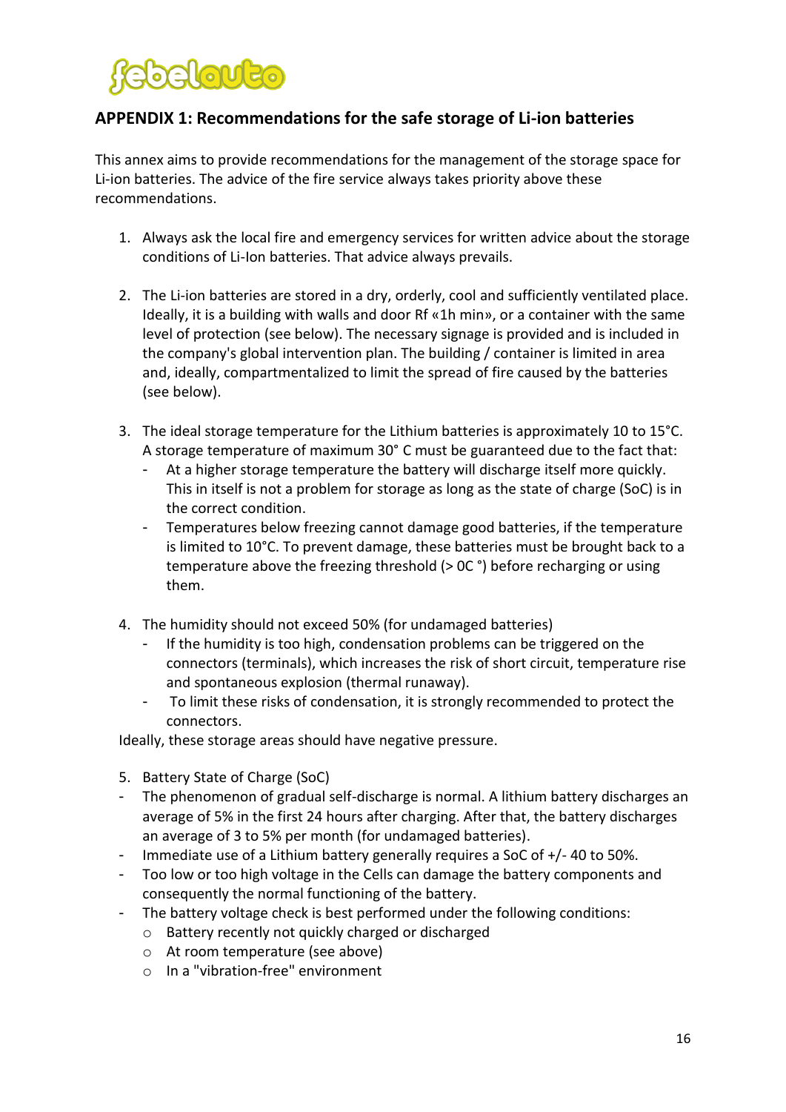# <span id="page-15-0"></span>**APPENDIX 1: Recommendations for the safe storage of Li-ion batteries**

This annex aims to provide recommendations for the management of the storage space for Li-ion batteries. The advice of the fire service always takes priority above these recommendations.

- 1. Always ask the local fire and emergency services for written advice about the storage conditions of Li-Ion batteries. That advice always prevails.
- 2. The Li-ion batteries are stored in a dry, orderly, cool and sufficiently ventilated place. Ideally, it is a building with walls and door Rf «1h min», or a container with the same level of protection (see below). The necessary signage is provided and is included in the company's global intervention plan. The building / container is limited in area and, ideally, compartmentalized to limit the spread of fire caused by the batteries (see below).
- 3. The ideal storage temperature for the Lithium batteries is approximately 10 to 15°C. A storage temperature of maximum 30° C must be guaranteed due to the fact that:
	- At a higher storage temperature the battery will discharge itself more quickly. This in itself is not a problem for storage as long as the state of charge (SoC) is in the correct condition.
	- Temperatures below freezing cannot damage good batteries, if the temperature is limited to 10°C. To prevent damage, these batteries must be brought back to a temperature above the freezing threshold (> 0C °) before recharging or using them.
- 4. The humidity should not exceed 50% (for undamaged batteries)
	- If the humidity is too high, condensation problems can be triggered on the connectors (terminals), which increases the risk of short circuit, temperature rise and spontaneous explosion (thermal runaway).
	- To limit these risks of condensation, it is strongly recommended to protect the connectors.

Ideally, these storage areas should have negative pressure.

- 5. Battery State of Charge (SoC)
- The phenomenon of gradual self-discharge is normal. A lithium battery discharges an average of 5% in the first 24 hours after charging. After that, the battery discharges an average of 3 to 5% per month (for undamaged batteries).
- Immediate use of a Lithium battery generally requires a SoC of +/- 40 to 50%.
- Too low or too high voltage in the Cells can damage the battery components and consequently the normal functioning of the battery.
- The battery voltage check is best performed under the following conditions:
	- o Battery recently not quickly charged or discharged
	- o At room temperature (see above)
	- o In a "vibration-free" environment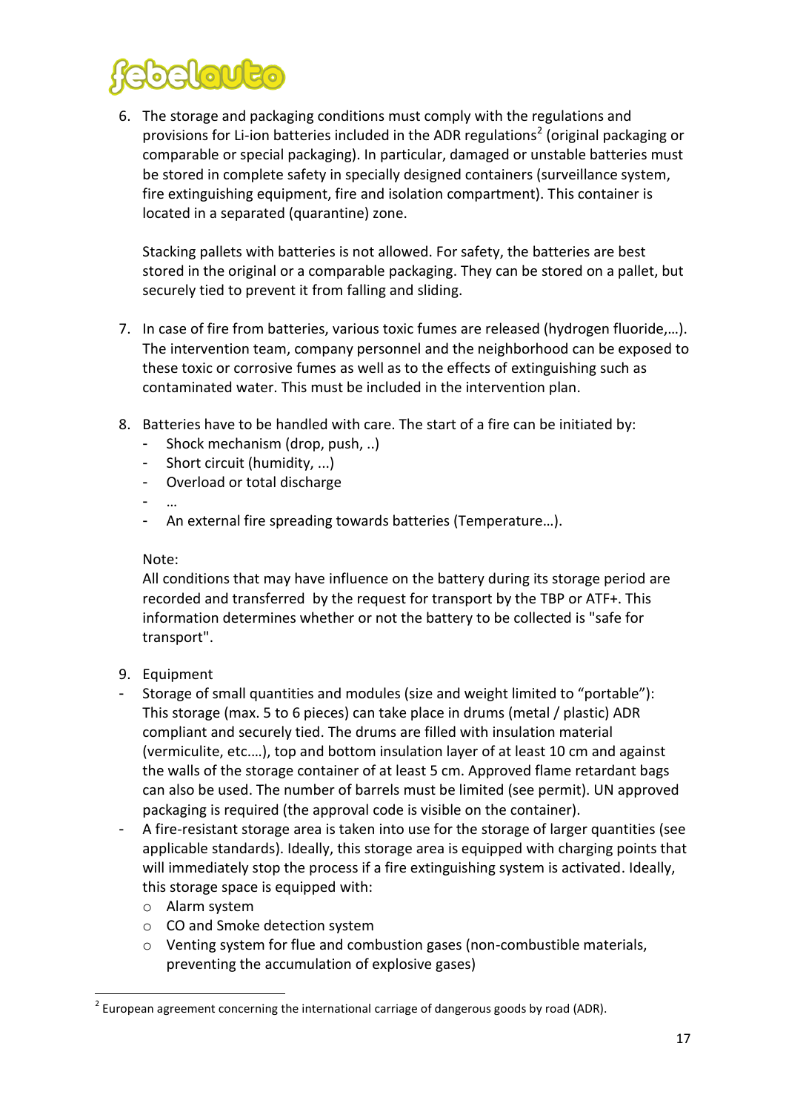

6. The storage and packaging conditions must comply with the regulations and provisions for Li-ion batteries included in the ADR regulations<sup>2</sup> (original packaging or comparable or special packaging). In particular, damaged or unstable batteries must be stored in complete safety in specially designed containers (surveillance system, fire extinguishing equipment, fire and isolation compartment). This container is located in a separated (quarantine) zone.

Stacking pallets with batteries is not allowed. For safety, the batteries are best stored in the original or a comparable packaging. They can be stored on a pallet, but securely tied to prevent it from falling and sliding.

- 7. In case of fire from batteries, various toxic fumes are released (hydrogen fluoride,…). The intervention team, company personnel and the neighborhood can be exposed to these toxic or corrosive fumes as well as to the effects of extinguishing such as contaminated water. This must be included in the intervention plan.
- 8. Batteries have to be handled with care. The start of a fire can be initiated by:
	- Shock mechanism (drop, push, ..)
	- Short circuit (humidity, ...)
	- Overload or total discharge
	- …
	- An external fire spreading towards batteries (Temperature…).

#### Note:

All conditions that may have influence on the battery during its storage period are recorded and transferred by the request for transport by the TBP or ATF+. This information determines whether or not the battery to be collected is "safe for transport".

- 9. Equipment
- Storage of small quantities and modules (size and weight limited to "portable"): This storage (max. 5 to 6 pieces) can take place in drums (metal / plastic) ADR compliant and securely tied. The drums are filled with insulation material (vermiculite, etc.…), top and bottom insulation layer of at least 10 cm and against the walls of the storage container of at least 5 cm. Approved flame retardant bags can also be used. The number of barrels must be limited (see permit). UN approved packaging is required (the approval code is visible on the container).
- A fire-resistant storage area is taken into use for the storage of larger quantities (see applicable standards). Ideally, this storage area is equipped with charging points that will immediately stop the process if a fire extinguishing system is activated. Ideally, this storage space is equipped with:
	- o Alarm system

**.** 

- o CO and Smoke detection system
- o Venting system for flue and combustion gases (non-combustible materials, preventing the accumulation of explosive gases)

 $2$  European agreement concerning the international carriage of dangerous goods by road (ADR).